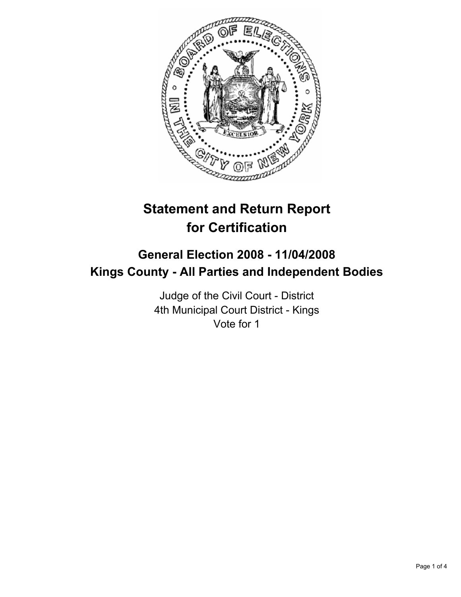

# **Statement and Return Report for Certification**

## **General Election 2008 - 11/04/2008 Kings County - All Parties and Independent Bodies**

Judge of the Civil Court - District 4th Municipal Court District - Kings Vote for 1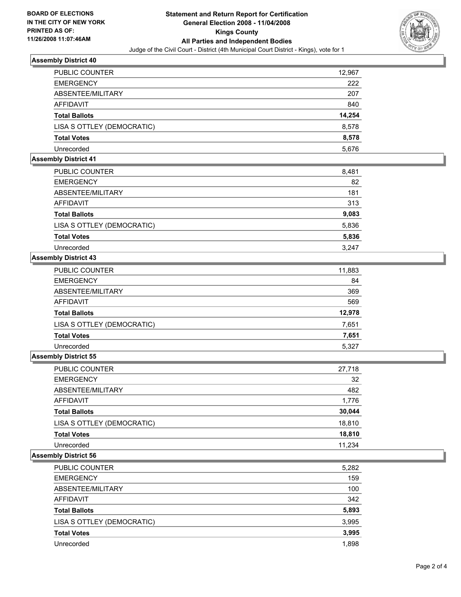

#### **Assembly District 40**

| <b>PUBLIC COUNTER</b>      | 12,967 |
|----------------------------|--------|
| <b>EMERGENCY</b>           | 222    |
| ABSENTEE/MILITARY          | 207    |
| <b>AFFIDAVIT</b>           | 840    |
| <b>Total Ballots</b>       | 14,254 |
| LISA S OTTLEY (DEMOCRATIC) | 8,578  |
| <b>Total Votes</b>         | 8,578  |
| Unrecorded                 | 5,676  |

#### **Assembly District 41**

| <b>PUBLIC COUNTER</b>      | 8,481 |  |
|----------------------------|-------|--|
| <b>EMERGENCY</b>           | 82    |  |
| ABSENTEE/MILITARY          | 181   |  |
| AFFIDAVIT                  | 313   |  |
| <b>Total Ballots</b>       | 9,083 |  |
| LISA S OTTLEY (DEMOCRATIC) | 5,836 |  |
| <b>Total Votes</b>         | 5,836 |  |
| Unrecorded                 | 3.247 |  |

#### **Assembly District 43**

| PUBLIC COUNTER             | 11,883 |
|----------------------------|--------|
| <b>EMERGENCY</b>           | 84     |
| ABSENTEE/MILITARY          | 369    |
| <b>AFFIDAVIT</b>           | 569    |
| <b>Total Ballots</b>       | 12,978 |
| LISA S OTTLEY (DEMOCRATIC) | 7,651  |
| <b>Total Votes</b>         | 7,651  |
| Unrecorded                 | 5,327  |

#### **Assembly District 55**

| PUBLIC COUNTER             | 27,718 |
|----------------------------|--------|
| <b>EMERGENCY</b>           | 32     |
| ABSENTEE/MILITARY          | 482    |
| AFFIDAVIT                  | 1,776  |
| <b>Total Ballots</b>       | 30,044 |
| LISA S OTTLEY (DEMOCRATIC) | 18,810 |
| <b>Total Votes</b>         | 18,810 |
| Unrecorded                 | 11.234 |

#### **Assembly District 56**

| <b>PUBLIC COUNTER</b>      | 5,282 |
|----------------------------|-------|
| <b>EMERGENCY</b>           | 159   |
| ABSENTEE/MILITARY          | 100   |
| AFFIDAVIT                  | 342   |
| <b>Total Ballots</b>       | 5,893 |
| LISA S OTTLEY (DEMOCRATIC) | 3,995 |
| <b>Total Votes</b>         | 3,995 |
| Unrecorded                 | 1,898 |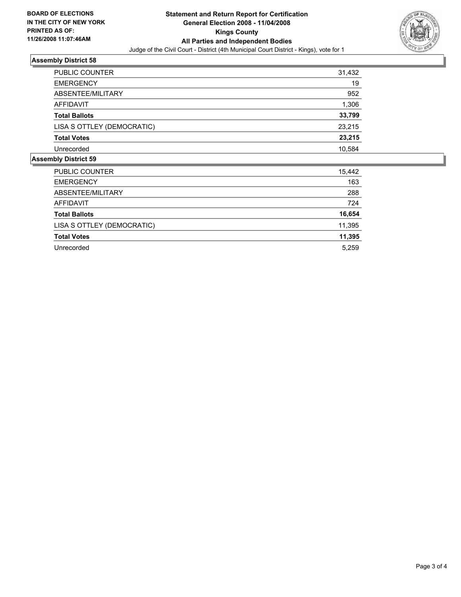

### **Assembly District 58**

| 31,432 |
|--------|
| 19     |
| 952    |
| 1,306  |
| 33,799 |
| 23,215 |
| 23,215 |
| 10,584 |
|        |

#### **Assembly District 59**

| <b>PUBLIC COUNTER</b>      | 15,442 |
|----------------------------|--------|
| <b>EMERGENCY</b>           | 163    |
| ABSENTEE/MILITARY          | 288    |
| AFFIDAVIT                  | 724    |
| <b>Total Ballots</b>       | 16,654 |
| LISA S OTTLEY (DEMOCRATIC) | 11,395 |
| <b>Total Votes</b>         | 11,395 |
| Unrecorded                 | 5,259  |
|                            |        |